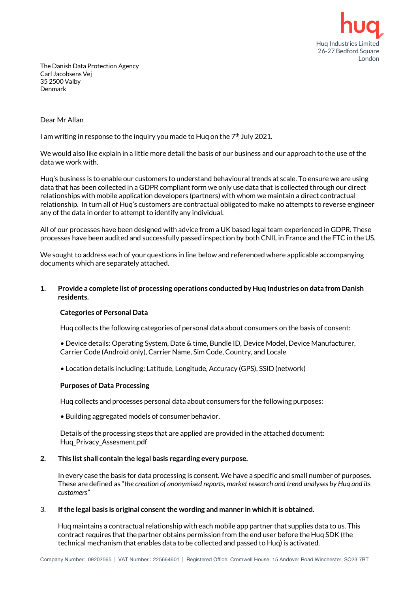

The Danish Data Protection Agency Carl Jacobsens Vej 35 2500 Valby Denmark

#### Dear Mr Allan

I am writing in response to the inquiry you made to Hug on the  $7<sup>th</sup>$  July 2021.

We would also like explain in a little more detail the basis of our business and our approach to the use of the data we work with.

Huq's business is to enable our customers to understand behavioural trends at scale. To ensure we are using data that has been collected in a GDPR compliant form we only use data that is collected through our direct relationships with mobile application developers (partners) with whom we maintain a direct contractual relationship. In turn all of Huq's customers are contractual obligated to make no attempts to reverse engineer any of the data in order to attempt to identify any individual.

All of our processes have been designed with advice from a UK based legalteam experienced in GDPR. These processes have been audited and successfully passed inspection by both CNIL in France and the FTC in the US.

We sought to address each of your questions in line below and referenced where applicable accompanying documents which are separately attached.

## **1. Provide a complete list of processing operations conducted by Huq Industries on data from Danish residents.**

## **Categories of Personal Data**

Huq collects the following categories of personal data about consumers on the basis of consent:

- Device details: Operating System, Date & time, Bundle ID, Device Model, Device Manufacturer, Carrier Code (Android only), Carrier Name, Sim Code, Country, and Locale
- Location details including: Latitude, Longitude, Accuracy (GPS), SSID (network)

#### **Purposes of Data Processing**

Huq collects and processes personal data about consumers for the following purposes:

• Building aggregated models of consumer behavior.

Details of the processing steps that are applied are provided in the attached document: Huq\_Privacy\_Assesment.pdf

## **2. This list shall contain the legal basis regarding every purpose.**

In every case the basis for data processing is consent. We have a specific and small number of purposes. These are defined as "*the creation of anonymised reports, market research and trend analyses by Huq and its customers"*

## 3. **Ifthe legal basis is original consent the wording and manner in which it is obtained**.

Huq maintains a contractual relationship with each mobile app partner that supplies data to us. This contract requires that the partner obtains permission from the end user before the Huq SDK (the technical mechanism that enables data to be collected and passed to Huq) is activated.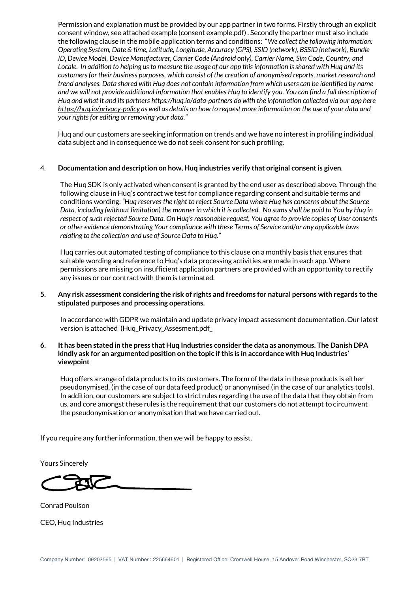Permission and explanation must be provided by our app partner in two forms. Firstly through an explicit consent window, see attached example (consent example.pdf) . Secondly the partner must also include the following clause in the mobile application terms and conditions: "*We collect the following information: Operating System, Date & time, Latitude, Longitude, Accuracy (GPS), SSID (network), BSSID (network), Bundle ID,Device Model, Device Manufacturer, Carrier Code (Android only), Carrier Name, Sim Code, Country, and* Locale. In addition to helping us to measure the usage of our app this information is shared with Hug and its *customers fortheir business purposes, which consist of the creation of anonymised reports, market research and* trend analyses. Data shared with Hug does not contain information from which users can be identified by name and we will not provide additional information that enables Hug to identify you. You can find a full description of Hug and what it and its partners https://hug.io/data-partners do with the information collected via our app here https://hug.jo/privacy-policy as well as details on how to request more information on the use of your data and *yourrights for editing orremoving your data."*

Huq and our customers are seeking information on trends and we have no interest in profiling individual data subject and in consequence we do not seek consent for such profiling.

## 4. **Documentation and description on how, Huq industries verify that original consentis given**.

The Hug SDK is only activated when consent is granted by the end user as described above. Through the following clause in Huq's contract we test for compliance regarding consent and suitable terms and conditions wording: *"Huq reserves the right to reject Source Data where Huq has concerns about the Source* Data, including (without limitation) the manner in which it is collected. No sums shall be paid to You by Huq in respect of such rejected Source Data. On Hug's reasonable request, You agree to provide copies of User consents *or other evidence demonstrating Your compliance with these Terms of Service and/or any applicable laws relating to the collection and use of Source Data to Huq."*

Huq carries out automated testing of compliance to this clause on a monthly basis that ensures that suitable wording and reference to Huq's data processing activities are made in each app. Where permissions are missing on insufficient application partners are provided with an opportunity to rectify any issues or our contract with them is terminated.

#### 5. Any risk assessment considering the risk of rights and freedoms for natural persons with regards to the **stipulated purposes and processing operations.**

In accordance with GDPR we maintain and update privacy impact assessment documentation. Our latest version is attached (Huq\_Privacy\_Assesment.pdf\_

#### 6. It has been stated in the press that Hug Industries consider the data as anonymous. The Danish DPA **kindly ask for an argumented position on the topic if this is in accordance with Huq Industries' viewpoint**

Huq offers a range of data products to its customers. The form of the data in these products is either pseudonymised, (in the case of our data feed product) or anonymised (in the case of our analytics tools). In addition, our customers are subject to strict rules regarding the use of the data that they obtain from us, and core amongst these rules is the requirement that our customers do not attempt to circumvent the pseudonymisation or anonymisation that we have carried out.

If you require any further information, then we will be happy to assist.

Yours Sincerely

Conrad Poulson CEO, Huq Industries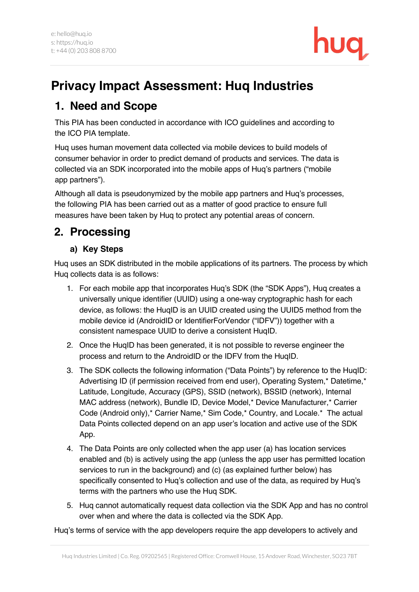

# **Privacy Impact Assessment: Huq Industries**

## **1. Need and Scope**

This PIA has been conducted in accordance with ICO guidelines and according to the ICO PIA template.

Huq uses human movement data collected via mobile devices to build models of consumer behavior in order to predict demand of products and services. The data is collected via an SDK incorporated into the mobile apps of Huq's partners ("mobile app partners").

Although all data is pseudonymized by the mobile app partners and Huq's processes, the following PIA has been carried out as a matter of good practice to ensure full measures have been taken by Huq to protect any potential areas of concern.

# **2. Processing**

## **a) Key Steps**

Huq uses an SDK distributed in the mobile applications of its partners. The process by which Huq collects data is as follows:

- 1. For each mobile app that incorporates Huq's SDK (the "SDK Apps"), Huq creates a universally unique identifier (UUID) using a one-way cryptographic hash for each device, as follows: the HuqID is an UUID created using the UUID5 method from the mobile device id (AndroidID or IdentifierForVendor ("IDFV")) together with a consistent namespace UUID to derive a consistent HuqID.
- 2. Once the HuqID has been generated, it is not possible to reverse engineer the process and return to the AndroidID or the IDFV from the HuqID.
- 3. The SDK collects the following information ("Data Points") by reference to the HuqID: Advertising ID (if permission received from end user), Operating System,\* Datetime,\* Latitude, Longitude, Accuracy (GPS), SSID (network), BSSID (network), Internal MAC address (network), Bundle ID, Device Model,\* Device Manufacturer,\* Carrier Code (Android only),\* Carrier Name,\* Sim Code,\* Country, and Locale.\* The actual Data Points collected depend on an app user's location and active use of the SDK App.
- 4. The Data Points are only collected when the app user (a) has location services enabled and (b) is actively using the app (unless the app user has permitted location services to run in the background) and (c) (as explained further below) has specifically consented to Huq's collection and use of the data, as required by Huq's terms with the partners who use the Huq SDK.
- 5. Huq cannot automatically request data collection via the SDK App and has no control over when and where the data is collected via the SDK App.

Huq's terms of service with the app developers require the app developers to actively and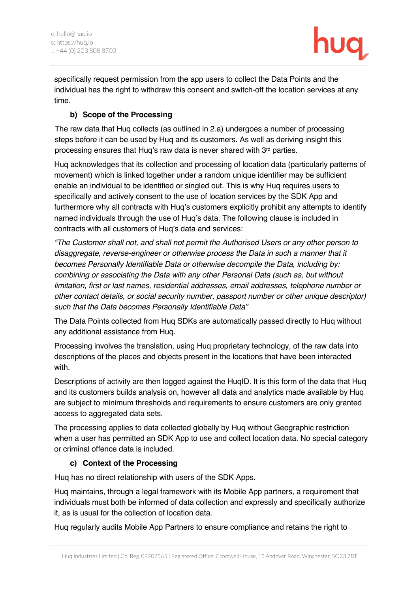

specifically request permission from the app users to collect the Data Points and the individual has the right to withdraw this consent and switch-off the location services at any time.

## **b) Scope of the Processing**

The raw data that Huq collects (as outlined in 2.a) undergoes a number of processing steps before it can be used by Huq and its customers. As well as deriving insight this processing ensures that Huq's raw data is never shared with 3rd parties.

Huq acknowledges that its collection and processing of location data (particularly patterns of movement) which is linked together under a random unique identifier may be sufficient enable an individual to be identified or singled out. This is why Huq requires users to specifically and actively consent to the use of location services by the SDK App and furthermore why all contracts with Huq's customers explicitly prohibit any attempts to identify named individuals through the use of Huq's data. The following clause is included in contracts with all customers of Huq's data and services:

*"The Customer shall not, and shall not permit the Authorised Users or any other person to disaggregate, reverse-engineer or otherwise process the Data in such a manner that it becomes Personally Identifiable Data or otherwise decompile the Data, including by: combining or associating the Data with any other Personal Data (such as, but without limitation, first or last names, residential addresses, email addresses, telephone number or other contact details, or social security number, passport number or other unique descriptor) such that the Data becomes Personally Identifiable Data"*

The Data Points collected from Huq SDKs are automatically passed directly to Huq without any additional assistance from Huq.

Processing involves the translation, using Huq proprietary technology, of the raw data into descriptions of the places and objects present in the locations that have been interacted with.

Descriptions of activity are then logged against the HuqID. It is this form of the data that Huq and its customers builds analysis on, however all data and analytics made available by Huq are subject to minimum thresholds and requirements to ensure customers are only granted access to aggregated data sets.

The processing applies to data collected globally by Huq without Geographic restriction when a user has permitted an SDK App to use and collect location data. No special category or criminal offence data is included.

## **c) Context of the Processing**

Huq has no direct relationship with users of the SDK Apps.

Huq maintains, through a legal framework with its Mobile App partners, a requirement that individuals must both be informed of data collection and expressly and specifically authorize it, as is usual for the collection of location data.

Huq regularly audits Mobile App Partners to ensure compliance and retains the right to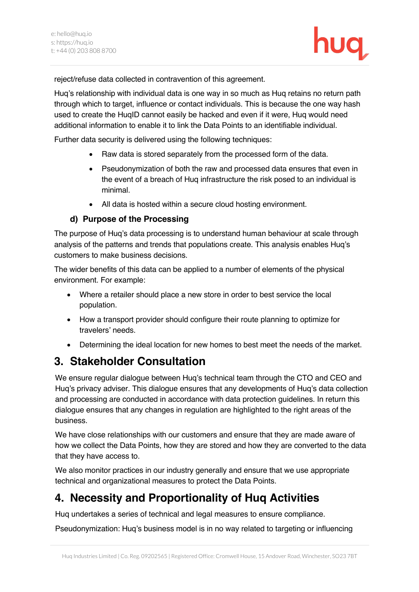

reject/refuse data collected in contravention of this agreement.

Huq's relationship with individual data is one way in so much as Huq retains no return path through which to target, influence or contact individuals. This is because the one way hash used to create the HuqID cannot easily be hacked and even if it were, Huq would need additional information to enable it to link the Data Points to an identifiable individual.

Further data security is delivered using the following techniques:

- Raw data is stored separately from the processed form of the data.
- Pseudonymization of both the raw and processed data ensures that even in the event of a breach of Huq infrastructure the risk posed to an individual is minimal.
- All data is hosted within a secure cloud hosting environment.

## **d) Purpose of the Processing**

The purpose of Huq's data processing is to understand human behaviour at scale through analysis of the patterns and trends that populations create. This analysis enables Huq's customers to make business decisions.

The wider benefits of this data can be applied to a number of elements of the physical environment. For example:

- Where a retailer should place a new store in order to best service the local population.
- How a transport provider should configure their route planning to optimize for travelers' needs.
- Determining the ideal location for new homes to best meet the needs of the market.

# **3. Stakeholder Consultation**

We ensure regular dialogue between Huq's technical team through the CTO and CEO and Huq's privacy adviser. This dialogue ensures that any developments of Huq's data collection and processing are conducted in accordance with data protection guidelines. In return this dialogue ensures that any changes in regulation are highlighted to the right areas of the business.

We have close relationships with our customers and ensure that they are made aware of how we collect the Data Points, how they are stored and how they are converted to the data that they have access to.

We also monitor practices in our industry generally and ensure that we use appropriate technical and organizational measures to protect the Data Points.

# **4. Necessity and Proportionality of Huq Activities**

Huq undertakes a series of technical and legal measures to ensure compliance.

Pseudonymization: Huq's business model is in no way related to targeting or influencing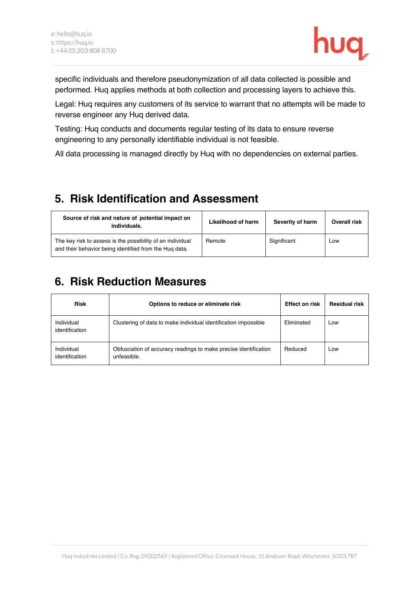

specific individuals and therefore pseudonymization of all data collected is possible and performed. Huq applies methods at both collection and processing layers to achieve this.

Legal: Huq requires any customers of its service to warrant that no attempts will be made to reverse engineer any Huq derived data.

Testing: Huq conducts and documents regular testing of its data to ensure reverse engineering to any personally identifiable individual is not feasible.

All data processing is managed directly by Huq with no dependencies on external parties.

## **5. Risk Identification and Assessment**

| Source of risk and nature of potential impact on<br>individuals.                                                     | Likelihood of harm | Severity of harm | Overall risk |
|----------------------------------------------------------------------------------------------------------------------|--------------------|------------------|--------------|
| The key risk to assess is the possibility of an individual<br>and their behavior being identified from the Hug data. | Remote             | Significant      | Low          |

# **6. Risk Reduction Measures**

| <b>Risk</b>                  | Options to reduce or eliminate risk                                            | <b>Effect on risk</b> | <b>Residual risk</b> |
|------------------------------|--------------------------------------------------------------------------------|-----------------------|----------------------|
| Individual<br>identification | Clustering of data to make individual identification impossible                | Eliminated            | Low                  |
| Individual<br>identification | Obfuscation of accuracy readings to make precise identification<br>unfeasible. | Reduced               | Low                  |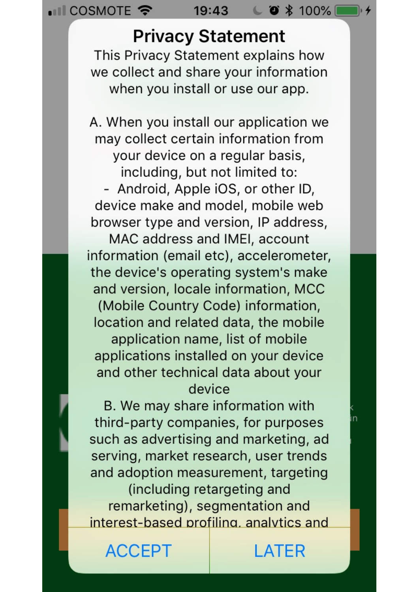·III COSMOTE 字

19:43

# **Privacy Statement**

 $C \bullet * 100\%$ 

This Privacy Statement explains how we collect and share your information when you install or use our app.

A. When you install our application we may collect certain information from your device on a regular basis, including, but not limited to: - Android, Apple iOS, or other ID, device make and model, mobile web browser type and version, IP address,

MAC address and IMEI, account information (email etc), accelerometer, the device's operating system's make and version, locale information, MCC (Mobile Country Code) information, location and related data, the mobile application name, list of mobile applications installed on your device and other technical data about your device

B. We may share information with third-party companies, for purposes such as advertising and marketing, ad serving, market research, user trends and adoption measurement, targeting (including retargeting and remarketing), segmentation and interest-based profiling, analytics and

**ACCEPT** 

# **ATFR**